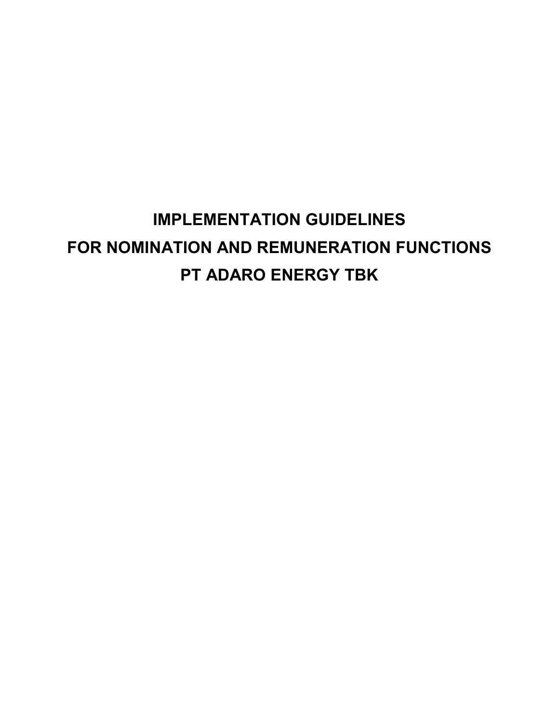# **IMPLEMENTATION GUIDELINES FOR NOMINATION AND REMUNERATION FUNCTIONS PT ADARO ENERGY TBK**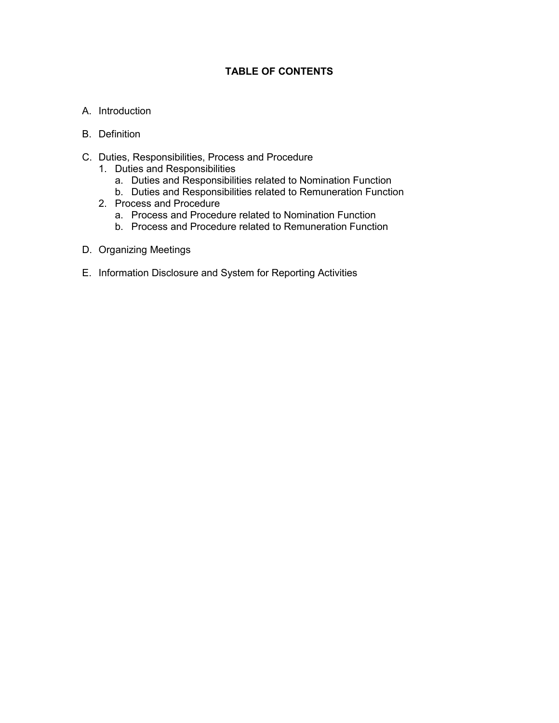## **TABLE OF CONTENTS**

- A. Introduction
- B. Definition
- C. Duties, Responsibilities, Process and Procedure
	- 1. Duties and Responsibilities
		- a. Duties and Responsibilities related to Nomination Function
		- b. Duties and Responsibilities related to Remuneration Function
	- 2. Process and Procedure
		- a. Process and Procedure related to Nomination Function
		- b. Process and Procedure related to Remuneration Function
- D. Organizing Meetings
- E. Information Disclosure and System for Reporting Activities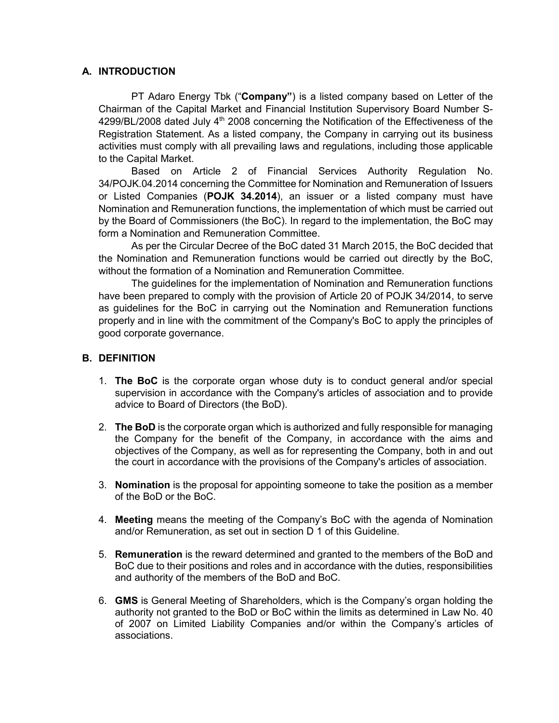#### **A. INTRODUCTION**

PT Adaro Energy Tbk ("**Company"**) is a listed company based on Letter of the Chairman of the Capital Market and Financial Institution Supervisory Board Number S-4299/BL/2008 dated July 4<sup>th</sup> 2008 concerning the Notification of the Effectiveness of the Registration Statement. As a listed company, the Company in carrying out its business activities must comply with all prevailing laws and regulations, including those applicable to the Capital Market.

Based on Article 2 of Financial Services Authority Regulation No. 34/POJK.04.2014 concerning the Committee for Nomination and Remuneration of Issuers or Listed Companies (**POJK 34.2014**), an issuer or a listed company must have Nomination and Remuneration functions, the implementation of which must be carried out by the Board of Commissioners (the BoC). In regard to the implementation, the BoC may form a Nomination and Remuneration Committee.

As per the Circular Decree of the BoC dated 31 March 2015, the BoC decided that the Nomination and Remuneration functions would be carried out directly by the BoC, without the formation of a Nomination and Remuneration Committee.

The guidelines for the implementation of Nomination and Remuneration functions have been prepared to comply with the provision of Article 20 of POJK 34/2014, to serve as guidelines for the BoC in carrying out the Nomination and Remuneration functions properly and in line with the commitment of the Company's BoC to apply the principles of good corporate governance.

#### **B. DEFINITION**

- 1. **The BoC** is the corporate organ whose duty is to conduct general and/or special supervision in accordance with the Company's articles of association and to provide advice to Board of Directors (the BoD).
- 2. **The BoD** is the corporate organ which is authorized and fully responsible for managing the Company for the benefit of the Company, in accordance with the aims and objectives of the Company, as well as for representing the Company, both in and out the court in accordance with the provisions of the Company's articles of association.
- 3. **Nomination** is the proposal for appointing someone to take the position as a member of the BoD or the BoC.
- 4. **Meeting** means the meeting of the Company's BoC with the agenda of Nomination and/or Remuneration, as set out in section D 1 of this Guideline.
- 5. **Remuneration** is the reward determined and granted to the members of the BoD and BoC due to their positions and roles and in accordance with the duties, responsibilities and authority of the members of the BoD and BoC.
- 6. **GMS** is General Meeting of Shareholders, which is the Company's organ holding the authority not granted to the BoD or BoC within the limits as determined in Law No. 40 of 2007 on Limited Liability Companies and/or within the Company's articles of associations.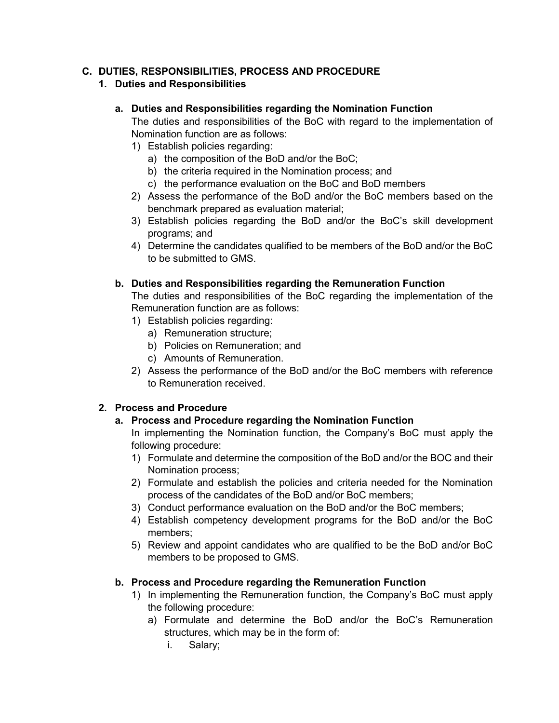## **C. DUTIES, RESPONSIBILITIES, PROCESS AND PROCEDURE**

## **1. Duties and Responsibilities**

#### **a. Duties and Responsibilities regarding the Nomination Function**

The duties and responsibilities of the BoC with regard to the implementation of Nomination function are as follows:

- 1) Establish policies regarding:
	- a) the composition of the BoD and/or the BoC;
	- b) the criteria required in the Nomination process; and
	- c) the performance evaluation on the BoC and BoD members
- 2) Assess the performance of the BoD and/or the BoC members based on the benchmark prepared as evaluation material;
- 3) Establish policies regarding the BoD and/or the BoC's skill development programs; and
- 4) Determine the candidates qualified to be members of the BoD and/or the BoC to be submitted to GMS.

## **b. Duties and Responsibilities regarding the Remuneration Function**

The duties and responsibilities of the BoC regarding the implementation of the Remuneration function are as follows:

- 1) Establish policies regarding:
	- a) Remuneration structure;
	- b) Policies on Remuneration; and
	- c) Amounts of Remuneration.
- 2) Assess the performance of the BoD and/or the BoC members with reference to Remuneration received.

## **2. Process and Procedure**

## **a. Process and Procedure regarding the Nomination Function**

In implementing the Nomination function, the Company's BoC must apply the following procedure:

- 1) Formulate and determine the composition of the BoD and/or the BOC and their Nomination process;
- 2) Formulate and establish the policies and criteria needed for the Nomination process of the candidates of the BoD and/or BoC members;
- 3) Conduct performance evaluation on the BoD and/or the BoC members;
- 4) Establish competency development programs for the BoD and/or the BoC members;
- 5) Review and appoint candidates who are qualified to be the BoD and/or BoC members to be proposed to GMS.

## **b. Process and Procedure regarding the Remuneration Function**

- 1) In implementing the Remuneration function, the Company's BoC must apply the following procedure:
	- a) Formulate and determine the BoD and/or the BoC's Remuneration structures, which may be in the form of:
		- i. Salary;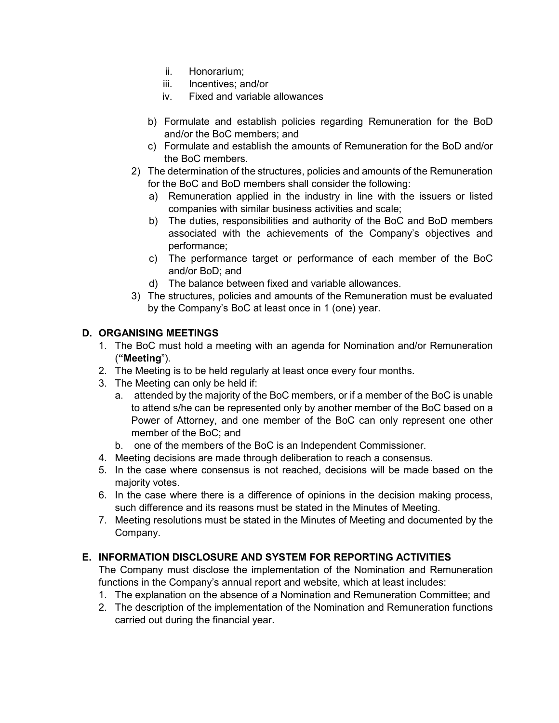- ii. Honorarium;
- iii. Incentives; and/or
- iv. Fixed and variable allowances
- b) Formulate and establish policies regarding Remuneration for the BoD and/or the BoC members; and
- c) Formulate and establish the amounts of Remuneration for the BoD and/or the BoC members.
- 2) The determination of the structures, policies and amounts of the Remuneration for the BoC and BoD members shall consider the following:
	- a) Remuneration applied in the industry in line with the issuers or listed companies with similar business activities and scale;
	- b) The duties, responsibilities and authority of the BoC and BoD members associated with the achievements of the Company's objectives and performance;
	- c) The performance target or performance of each member of the BoC and/or BoD; and
	- d) The balance between fixed and variable allowances.
- 3) The structures, policies and amounts of the Remuneration must be evaluated by the Company's BoC at least once in 1 (one) year.

# **D. ORGANISING MEETINGS**

- 1. The BoC must hold a meeting with an agenda for Nomination and/or Remuneration (**"Meeting**").
- 2. The Meeting is to be held regularly at least once every four months.
- 3. The Meeting can only be held if:
	- a. attended by the majority of the BoC members, or if a member of the BoC is unable to attend s/he can be represented only by another member of the BoC based on a Power of Attorney, and one member of the BoC can only represent one other member of the BoC; and
	- b. one of the members of the BoC is an Independent Commissioner.
- 4. Meeting decisions are made through deliberation to reach a consensus.
- 5. In the case where consensus is not reached, decisions will be made based on the majority votes.
- 6. In the case where there is a difference of opinions in the decision making process, such difference and its reasons must be stated in the Minutes of Meeting.
- 7. Meeting resolutions must be stated in the Minutes of Meeting and documented by the Company.

## **E. INFORMATION DISCLOSURE AND SYSTEM FOR REPORTING ACTIVITIES**

The Company must disclose the implementation of the Nomination and Remuneration functions in the Company's annual report and website, which at least includes:

- 1. The explanation on the absence of a Nomination and Remuneration Committee; and
- 2. The description of the implementation of the Nomination and Remuneration functions carried out during the financial year.